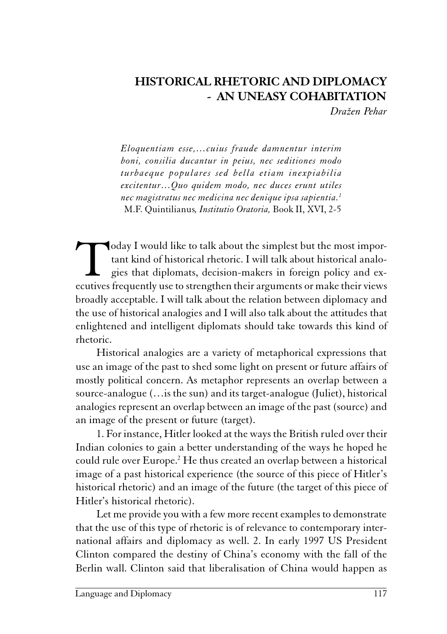# HISTORICAL RHETORIC AND DIPLOMACY - AN UNEASY COHABITATION

Dražen Pehar

Eloquentiam esse,…cuius fraude damnentur interim boni, consilia ducantur in peius, nec seditiones modo turbaeque populares sed bella etiam inexpiabilia excitentur…Quo quidem modo, nec duces erunt utiles nec magistratus nec medicina nec denique ipsa sapientia.<sup>1</sup> M.F. Quintilianus, Institutio Oratoria, Book II, XVI, 2-5

Today I would like to talk about the simplest but the most important kind of historical rhetoric. I will talk about historical analogies that diplomats, decision-makers in foreign policy and executives frequently use to st tant kind of historical rhetoric. I will talk about historical analogies that diplomats, decision-makers in foreign policy and executives frequently use to strengthen their arguments or make their views broadly acceptable. I will talk about the relation between diplomacy and the use of historical analogies and I will also talk about the attitudes that enlightened and intelligent diplomats should take towards this kind of rhetoric.

Historical analogies are a variety of metaphorical expressions that use an image of the past to shed some light on present or future affairs of mostly political concern. As metaphor represents an overlap between a source-analogue (…is the sun) and its target-analogue (Juliet), historical analogies represent an overlap between an image of the past (source) and an image of the present or future (target).

1. For instance, Hitler looked at the ways the British ruled over their Indian colonies to gain a better understanding of the ways he hoped he could rule over Europe.<sup>2</sup> He thus created an overlap between a historical image of a past historical experience (the source of this piece of Hitler's historical rhetoric) and an image of the future (the target of this piece of Hitler's historical rhetoric).

Let me provide you with a few more recent examples to demonstrate that the use of this type of rhetoric is of relevance to contemporary international affairs and diplomacy as well. 2. In early 1997 US President Clinton compared the destiny of China's economy with the fall of the Berlin wall. Clinton said that liberalisation of China would happen as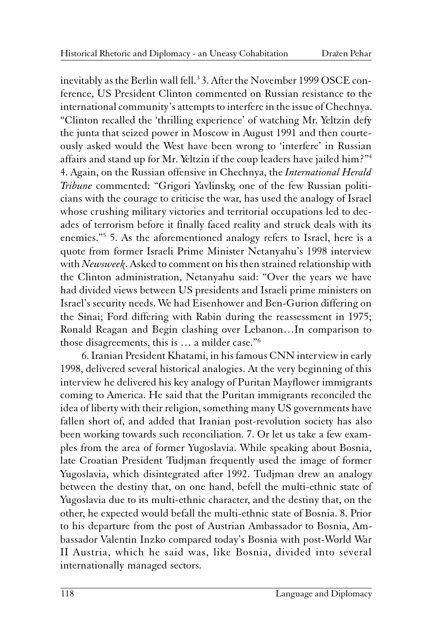inevitably as the Berlin wall fell.<sup>3</sup> 3. After the November 1999 OSCE conference, US President Clinton commented on Russian resistance to the international community's attempts to interfere in the issue of Chechnya. "Clinton recalled the 'thrilling experience' of watching Mr. Yeltzin defy the junta that seized power in Moscow in August 1991 and then courteously asked would the West have been wrong to 'interfere' in Russian affairs and stand up for Mr. Yeltzin if the coup leaders have jailed him?"<sup>4</sup> 4. Again, on the Russian offensive in Chechnya, the International Herald Tribune commented: "Grigori Yavlinsky, one of the few Russian politicians with the courage to criticise the war, has used the analogy of Israel whose crushing military victories and territorial occupations led to decades of terrorism before it finally faced reality and struck deals with its enemies."<sup>5</sup> 5. As the aforementioned analogy refers to Israel, here is a quote from former Israeli Prime Minister Netanyahu's 1998 interview with Newsweek. Asked to comment on his then strained relationship with the Clinton administration, Netanyahu said: "Over the years we have had divided views between US presidents and Israeli prime ministers on Israel's security needs. We had Eisenhower and Ben-Gurion differing on the Sinai; Ford differing with Rabin during the reassessment in 1975; Ronald Reagan and Begin clashing over Lebanon…In comparison to those disagreements, this is … a milder case."<sup>6</sup>

6. Iranian President Khatami, in his famous CNN interview in early 1998, delivered several historical analogies. At the very beginning of this interview he delivered his key analogy of Puritan Mayflower immigrants coming to America. He said that the Puritan immigrants reconciled the idea of liberty with their religion, something many US governments have fallen short of, and added that Iranian post-revolution society has also been working towards such reconciliation. 7. Or let us take a few examples from the area of former Yugoslavia. While speaking about Bosnia, late Croatian President Tudjman frequently used the image of former Yugoslavia, which disintegrated after 1992. Tudjman drew an analogy between the destiny that, on one hand, befell the multi-ethnic state of Yugoslavia due to its multi-ethnic character, and the destiny that, on the other, he expected would befall the multi-ethnic state of Bosnia. 8. Prior to his departure from the post of Austrian Ambassador to Bosnia, Ambassador Valentin Inzko compared today's Bosnia with post-World War II Austria, which he said was, like Bosnia, divided into several internationally managed sectors.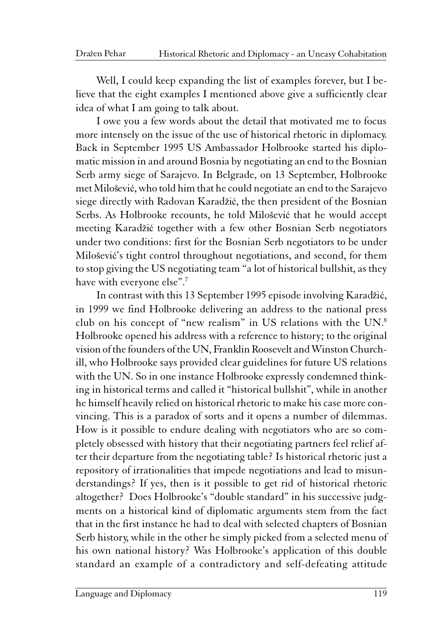Well, I could keep expanding the list of examples forever, but I believe that the eight examples I mentioned above give a sufficiently clear idea of what I am going to talk about.

I owe you a few words about the detail that motivated me to focus more intensely on the issue of the use of historical rhetoric in diplomacy. Back in September 1995 US Ambassador Holbrooke started his diplomatic mission in and around Bosnia by negotiating an end to the Bosnian Serb army siege of Sarajevo. In Belgrade, on 13 September, Holbrooke met Milošević, who told him that he could negotiate an end to the Sarajevo siege directly with Radovan Karadžić, the then president of the Bosnian Serbs. As Holbrooke recounts, he told Milošević that he would accept meeting Karadžić together with a few other Bosnian Serb negotiators under two conditions: first for the Bosnian Serb negotiators to be under Milošević's tight control throughout negotiations, and second, for them to stop giving the US negotiating team "a lot of historical bullshit, as they have with everyone else".<sup>7</sup>

In contrast with this 13 September 1995 episode involving Karadžić, in 1999 we find Holbrooke delivering an address to the national press club on his concept of "new realism" in US relations with the UN.<sup>8</sup> Holbrooke opened his address with a reference to history; to the original vision of the founders of the UN, Franklin Roosevelt and Winston Churchill, who Holbrooke says provided clear guidelines for future US relations with the UN. So in one instance Holbrooke expressly condemned thinking in historical terms and called it "historical bullshit", while in another he himself heavily relied on historical rhetoric to make his case more convincing. This is a paradox of sorts and it opens a number of dilemmas. How is it possible to endure dealing with negotiators who are so completely obsessed with history that their negotiating partners feel relief after their departure from the negotiating table? Is historical rhetoric just a repository of irrationalities that impede negotiations and lead to misunderstandings? If yes, then is it possible to get rid of historical rhetoric altogether? Does Holbrooke's "double standard" in his successive judgments on a historical kind of diplomatic arguments stem from the fact that in the first instance he had to deal with selected chapters of Bosnian Serb history, while in the other he simply picked from a selected menu of his own national history? Was Holbrooke's application of this double standard an example of a contradictory and self-defeating attitude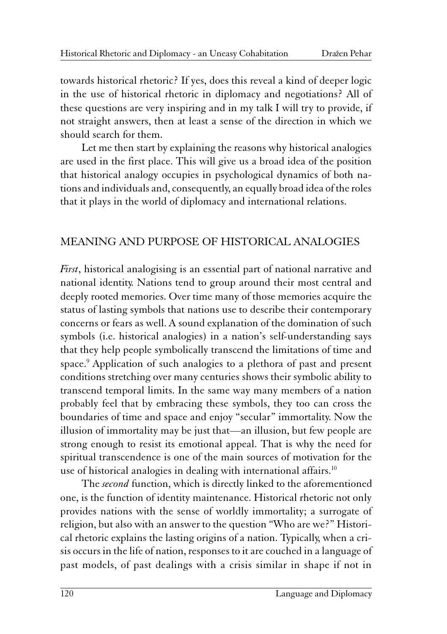towards historical rhetoric? If yes, does this reveal a kind of deeper logic in the use of historical rhetoric in diplomacy and negotiations? All of these questions are very inspiring and in my talk I will try to provide, if not straight answers, then at least a sense of the direction in which we should search for them.

Let me then start by explaining the reasons why historical analogies are used in the first place. This will give us a broad idea of the position that historical analogy occupies in psychological dynamics of both nations and individuals and, consequently, an equally broad idea of the roles that it plays in the world of diplomacy and international relations.

### MEANING AND PURPOSE OF HISTORICAL ANALOGIES

First, historical analogising is an essential part of national narrative and national identity. Nations tend to group around their most central and deeply rooted memories. Over time many of those memories acquire the status of lasting symbols that nations use to describe their contemporary concerns or fears as well. A sound explanation of the domination of such symbols (i.e. historical analogies) in a nation's self-understanding says that they help people symbolically transcend the limitations of time and space.<sup>9</sup> Application of such analogies to a plethora of past and present conditions stretching over many centuries shows their symbolic ability to transcend temporal limits. In the same way many members of a nation probably feel that by embracing these symbols, they too can cross the boundaries of time and space and enjoy "secular" immortality. Now the illusion of immortality may be just that—an illusion, but few people are strong enough to resist its emotional appeal. That is why the need for spiritual transcendence is one of the main sources of motivation for the use of historical analogies in dealing with international affairs.<sup>10</sup>

The second function, which is directly linked to the aforementioned one, is the function of identity maintenance. Historical rhetoric not only provides nations with the sense of worldly immortality; a surrogate of religion, but also with an answer to the question "Who are we?" Historical rhetoric explains the lasting origins of a nation. Typically, when a crisis occurs in the life of nation, responses to it are couched in a language of past models, of past dealings with a crisis similar in shape if not in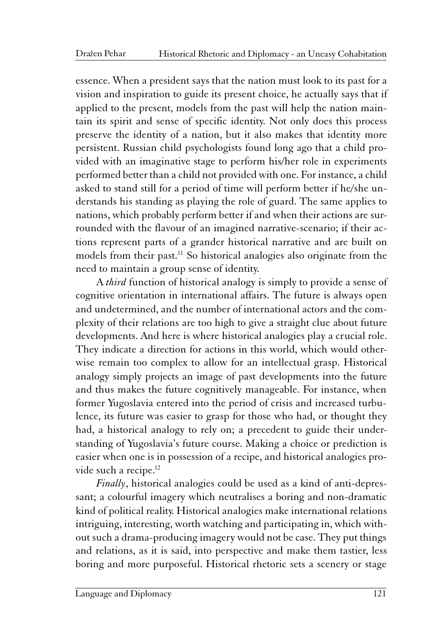essence. When a president says that the nation must look to its past for a vision and inspiration to guide its present choice, he actually says that if applied to the present, models from the past will help the nation maintain its spirit and sense of specific identity. Not only does this process preserve the identity of a nation, but it also makes that identity more persistent. Russian child psychologists found long ago that a child provided with an imaginative stage to perform his/her role in experiments performed better than a child not provided with one. For instance, a child asked to stand still for a period of time will perform better if he/she understands his standing as playing the role of guard. The same applies to nations, which probably perform better if and when their actions are surrounded with the flavour of an imagined narrative-scenario; if their actions represent parts of a grander historical narrative and are built on models from their past.<sup>11</sup> So historical analogies also originate from the need to maintain a group sense of identity.

A *third* function of historical analogy is simply to provide a sense of cognitive orientation in international affairs. The future is always open and undetermined, and the number of international actors and the complexity of their relations are too high to give a straight clue about future developments. And here is where historical analogies play a crucial role. They indicate a direction for actions in this world, which would otherwise remain too complex to allow for an intellectual grasp. Historical analogy simply projects an image of past developments into the future and thus makes the future cognitively manageable. For instance, when former Yugoslavia entered into the period of crisis and increased turbulence, its future was easier to grasp for those who had, or thought they had, a historical analogy to rely on; a precedent to guide their understanding of Yugoslavia's future course. Making a choice or prediction is easier when one is in possession of a recipe, and historical analogies provide such a recipe.<sup>12</sup>

Finally, historical analogies could be used as a kind of anti-depressant; a colourful imagery which neutralises a boring and non-dramatic kind of political reality. Historical analogies make international relations intriguing, interesting, worth watching and participating in, which without such a drama-producing imagery would not be case. They put things and relations, as it is said, into perspective and make them tastier, less boring and more purposeful. Historical rhetoric sets a scenery or stage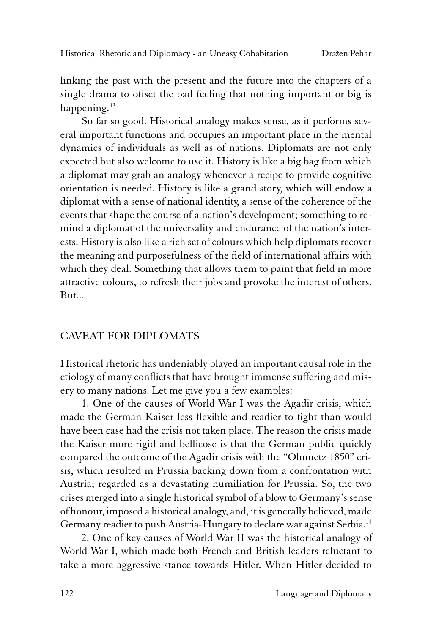linking the past with the present and the future into the chapters of a single drama to offset the bad feeling that nothing important or big is happening.<sup>13</sup>

So far so good. Historical analogy makes sense, as it performs several important functions and occupies an important place in the mental dynamics of individuals as well as of nations. Diplomats are not only expected but also welcome to use it. History is like a big bag from which a diplomat may grab an analogy whenever a recipe to provide cognitive orientation is needed. History is like a grand story, which will endow a diplomat with a sense of national identity, a sense of the coherence of the events that shape the course of a nation's development; something to remind a diplomat of the universality and endurance of the nation's interests. History is also like a rich set of colours which help diplomats recover the meaning and purposefulness of the field of international affairs with which they deal. Something that allows them to paint that field in more attractive colours, to refresh their jobs and provoke the interest of others. But...

### CAVEAT FOR DIPLOMATS

Historical rhetoric has undeniably played an important causal role in the etiology of many conflicts that have brought immense suffering and misery to many nations. Let me give you a few examples:

1. One of the causes of World War I was the Agadir crisis, which made the German Kaiser less flexible and readier to fight than would have been case had the crisis not taken place. The reason the crisis made the Kaiser more rigid and bellicose is that the German public quickly compared the outcome of the Agadir crisis with the "Olmuetz 1850" crisis, which resulted in Prussia backing down from a confrontation with Austria; regarded as a devastating humiliation for Prussia. So, the two crises merged into a single historical symbol of a blow to Germany's sense of honour, imposed a historical analogy, and, it is generally believed, made Germany readier to push Austria-Hungary to declare war against Serbia.<sup>14</sup>

2. One of key causes of World War II was the historical analogy of World War I, which made both French and British leaders reluctant to take a more aggressive stance towards Hitler. When Hitler decided to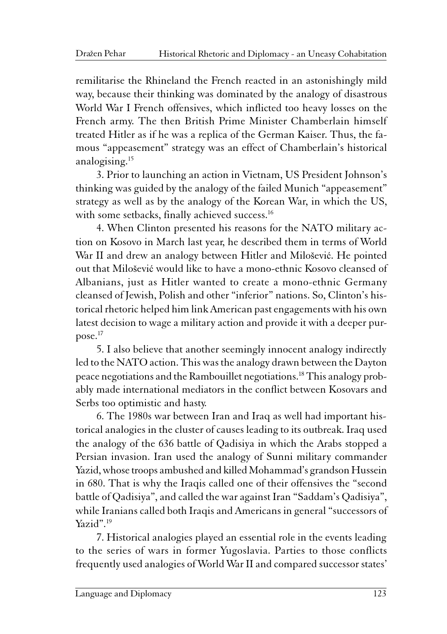remilitarise the Rhineland the French reacted in an astonishingly mild way, because their thinking was dominated by the analogy of disastrous World War I French offensives, which inflicted too heavy losses on the French army. The then British Prime Minister Chamberlain himself treated Hitler as if he was a replica of the German Kaiser. Thus, the famous "appeasement" strategy was an effect of Chamberlain's historical analogising.<sup>15</sup>

3. Prior to launching an action in Vietnam, US President Johnson's thinking was guided by the analogy of the failed Munich "appeasement" strategy as well as by the analogy of the Korean War, in which the US, with some setbacks, finally achieved success.<sup>16</sup>

4. When Clinton presented his reasons for the NATO military action on Kosovo in March last year, he described them in terms of World War II and drew an analogy between Hitler and Milošević. He pointed out that Milošević would like to have a mono-ethnic Kosovo cleansed of Albanians, just as Hitler wanted to create a mono-ethnic Germany cleansed of Jewish, Polish and other "inferior" nations. So, Clinton's historical rhetoric helped him link American past engagements with his own latest decision to wage a military action and provide it with a deeper purpose.<sup>17</sup>

5. I also believe that another seemingly innocent analogy indirectly led to the NATO action. This was the analogy drawn between the Dayton peace negotiations and the Rambouillet negotiations.18 This analogy probably made international mediators in the conflict between Kosovars and Serbs too optimistic and hasty.

6. The 1980s war between Iran and Iraq as well had important historical analogies in the cluster of causes leading to its outbreak. Iraq used the analogy of the 636 battle of Qadisiya in which the Arabs stopped a Persian invasion. Iran used the analogy of Sunni military commander Yazid, whose troops ambushed and killed Mohammad's grandson Hussein in 680. That is why the Iraqis called one of their offensives the "second battle of Qadisiya", and called the war against Iran "Saddam's Qadisiya", while Iranians called both Iraqis and Americans in general "successors of Yazid".<sup>19</sup>

7. Historical analogies played an essential role in the events leading to the series of wars in former Yugoslavia. Parties to those conflicts frequently used analogies of World War II and compared successor states'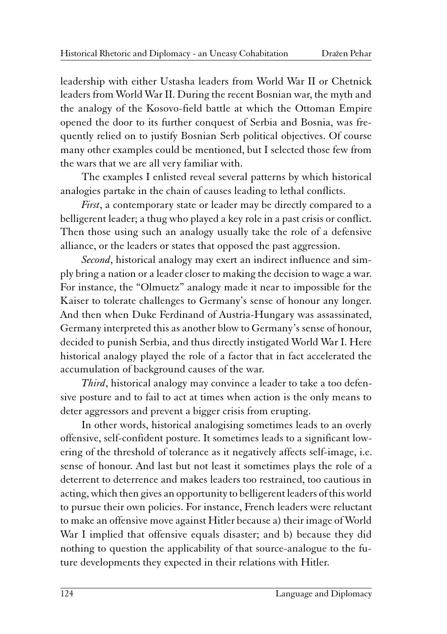leadership with either Ustasha leaders from World War II or Chetnick leaders from World War II. During the recent Bosnian war, the myth and the analogy of the Kosovo-field battle at which the Ottoman Empire opened the door to its further conquest of Serbia and Bosnia, was frequently relied on to justify Bosnian Serb political objectives. Of course many other examples could be mentioned, but I selected those few from the wars that we are all very familiar with.

The examples I enlisted reveal several patterns by which historical analogies partake in the chain of causes leading to lethal conflicts.

*First*, a contemporary state or leader may be directly compared to a belligerent leader; a thug who played a key role in a past crisis or conflict. Then those using such an analogy usually take the role of a defensive alliance, or the leaders or states that opposed the past aggression.

Second, historical analogy may exert an indirect influence and simply bring a nation or a leader closer to making the decision to wage a war. For instance, the "Olmuetz" analogy made it near to impossible for the Kaiser to tolerate challenges to Germany's sense of honour any longer. And then when Duke Ferdinand of Austria-Hungary was assassinated, Germany interpreted this as another blow to Germany's sense of honour, decided to punish Serbia, and thus directly instigated World War I. Here historical analogy played the role of a factor that in fact accelerated the accumulation of background causes of the war.

Third, historical analogy may convince a leader to take a too defensive posture and to fail to act at times when action is the only means to deter aggressors and prevent a bigger crisis from erupting.

In other words, historical analogising sometimes leads to an overly offensive, self-confident posture. It sometimes leads to a significant lowering of the threshold of tolerance as it negatively affects self-image, i.e. sense of honour. And last but not least it sometimes plays the role of a deterrent to deterrence and makes leaders too restrained, too cautious in acting, which then gives an opportunity to belligerent leaders of this world to pursue their own policies. For instance, French leaders were reluctant to make an offensive move against Hitler because a) their image of World War I implied that offensive equals disaster; and b) because they did nothing to question the applicability of that source-analogue to the future developments they expected in their relations with Hitler.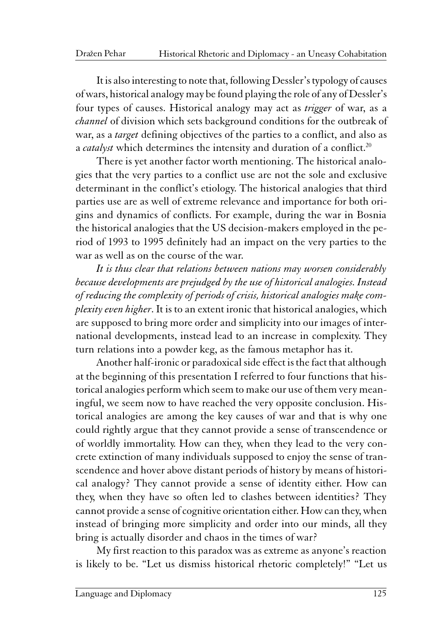It is also interesting to note that, following Dessler's typology of causes of wars, historical analogy may be found playing the role of any of Dessler's four types of causes. Historical analogy may act as trigger of war, as a channel of division which sets background conditions for the outbreak of war, as a *target* defining objectives of the parties to a conflict, and also as a catalyst which determines the intensity and duration of a conflict.<sup>20</sup>

There is yet another factor worth mentioning. The historical analogies that the very parties to a conflict use are not the sole and exclusive determinant in the conflict's etiology. The historical analogies that third parties use are as well of extreme relevance and importance for both origins and dynamics of conflicts. For example, during the war in Bosnia the historical analogies that the US decision-makers employed in the period of 1993 to 1995 definitely had an impact on the very parties to the war as well as on the course of the war.

It is thus clear that relations between nations may worsen considerably because developments are prejudged by the use of historical analogies. Instead of reducing the complexity of periods of crisis, historical analogies make complexity even higher. It is to an extent ironic that historical analogies, which are supposed to bring more order and simplicity into our images of international developments, instead lead to an increase in complexity. They turn relations into a powder keg, as the famous metaphor has it.

Another half-ironic or paradoxical side effect is the fact that although at the beginning of this presentation I referred to four functions that historical analogies perform which seem to make our use of them very meaningful, we seem now to have reached the very opposite conclusion. Historical analogies are among the key causes of war and that is why one could rightly argue that they cannot provide a sense of transcendence or of worldly immortality. How can they, when they lead to the very concrete extinction of many individuals supposed to enjoy the sense of transcendence and hover above distant periods of history by means of historical analogy? They cannot provide a sense of identity either. How can they, when they have so often led to clashes between identities? They cannot provide a sense of cognitive orientation either. How can they, when instead of bringing more simplicity and order into our minds, all they bring is actually disorder and chaos in the times of war?

My first reaction to this paradox was as extreme as anyone's reaction is likely to be. "Let us dismiss historical rhetoric completely!" "Let us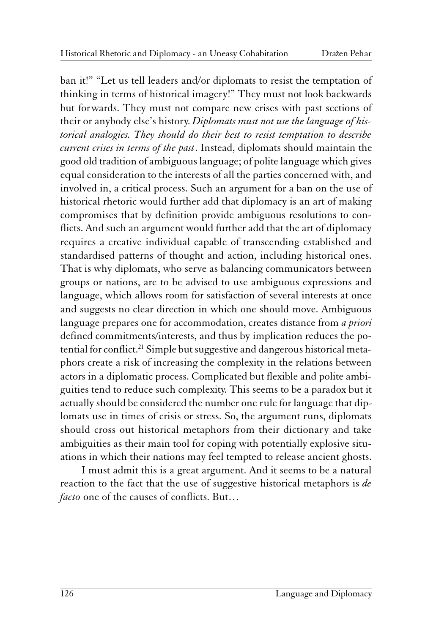ban it!" "Let us tell leaders and/or diplomats to resist the temptation of thinking in terms of historical imagery!" They must not look backwards but forwards. They must not compare new crises with past sections of their or anybody else's history. Diplomats must not use the language of historical analogies. They should do their best to resist temptation to describe current crises in terms of the past. Instead, diplomats should maintain the good old tradition of ambiguous language; of polite language which gives equal consideration to the interests of all the parties concerned with, and involved in, a critical process. Such an argument for a ban on the use of historical rhetoric would further add that diplomacy is an art of making compromises that by definition provide ambiguous resolutions to conflicts. And such an argument would further add that the art of diplomacy requires a creative individual capable of transcending established and standardised patterns of thought and action, including historical ones. That is why diplomats, who serve as balancing communicators between groups or nations, are to be advised to use ambiguous expressions and language, which allows room for satisfaction of several interests at once and suggests no clear direction in which one should move. Ambiguous language prepares one for accommodation, creates distance from *a priori* defined commitments/interests, and thus by implication reduces the potential for conflict.<sup>21</sup> Simple but suggestive and dangerous historical metaphors create a risk of increasing the complexity in the relations between actors in a diplomatic process. Complicated but flexible and polite ambiguities tend to reduce such complexity. This seems to be a paradox but it actually should be considered the number one rule for language that diplomats use in times of crisis or stress. So, the argument runs, diplomats should cross out historical metaphors from their dictionary and take ambiguities as their main tool for coping with potentially explosive situations in which their nations may feel tempted to release ancient ghosts.

I must admit this is a great argument. And it seems to be a natural reaction to the fact that the use of suggestive historical metaphors is de facto one of the causes of conflicts. But...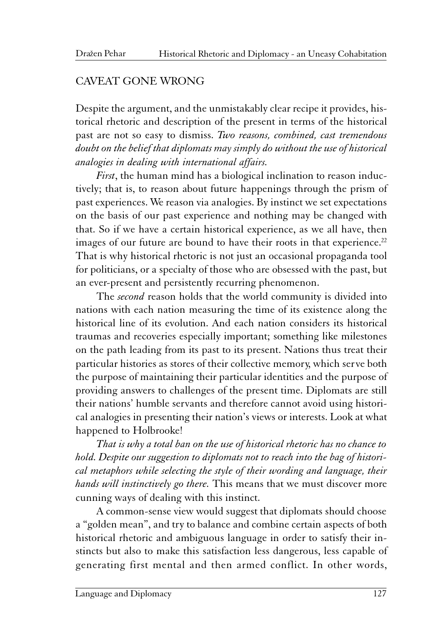#### CAVEAT GONE WRONG

Despite the argument, and the unmistakably clear recipe it provides, historical rhetoric and description of the present in terms of the historical past are not so easy to dismiss. Two reasons, combined, cast tremendous doubt on the belief that diplomats may simply do without the use of historical analogies in dealing with international affairs.

First, the human mind has a biological inclination to reason inductively; that is, to reason about future happenings through the prism of past experiences. We reason via analogies. By instinct we set expectations on the basis of our past experience and nothing may be changed with that. So if we have a certain historical experience, as we all have, then images of our future are bound to have their roots in that experience. $^{22}$ That is why historical rhetoric is not just an occasional propaganda tool for politicians, or a specialty of those who are obsessed with the past, but an ever-present and persistently recurring phenomenon.

The second reason holds that the world community is divided into nations with each nation measuring the time of its existence along the historical line of its evolution. And each nation considers its historical traumas and recoveries especially important; something like milestones on the path leading from its past to its present. Nations thus treat their particular histories as stores of their collective memory, which serve both the purpose of maintaining their particular identities and the purpose of providing answers to challenges of the present time. Diplomats are still their nations' humble servants and therefore cannot avoid using historical analogies in presenting their nation's views or interests. Look at what happened to Holbrooke!

That is why a total ban on the use of historical rhetoric has no chance to hold. Despite our suggestion to diplomats not to reach into the bag of historical metaphors while selecting the style of their wording and language, their hands will instinctively go there. This means that we must discover more cunning ways of dealing with this instinct.

A common-sense view would suggest that diplomats should choose a "golden mean", and try to balance and combine certain aspects of both historical rhetoric and ambiguous language in order to satisfy their instincts but also to make this satisfaction less dangerous, less capable of generating first mental and then armed conflict. In other words,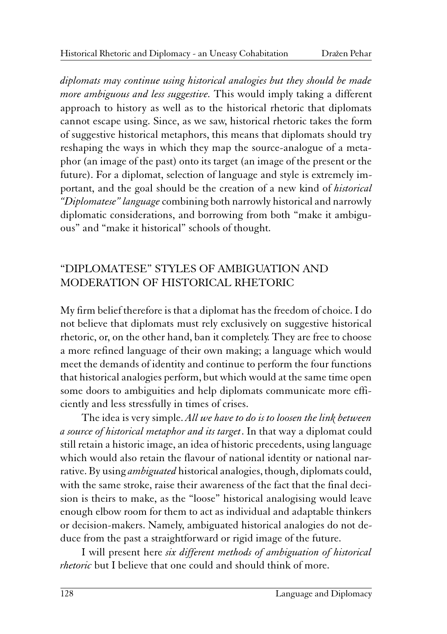diplomats may continue using historical analogies but they should be made more ambiguous and less suggestive. This would imply taking a different approach to history as well as to the historical rhetoric that diplomats cannot escape using. Since, as we saw, historical rhetoric takes the form of suggestive historical metaphors, this means that diplomats should try reshaping the ways in which they map the source-analogue of a metaphor (an image of the past) onto its target (an image of the present or the future). For a diplomat, selection of language and style is extremely important, and the goal should be the creation of a new kind of historical "Diplomatese" language combining both narrowly historical and narrowly diplomatic considerations, and borrowing from both "make it ambiguous" and "make it historical" schools of thought.

## "DIPLOMATESE" STYLES OF AMBIGUATION AND MODERATION OF HISTORICAL RHETORIC

My firm belief therefore is that a diplomat has the freedom of choice. I do not believe that diplomats must rely exclusively on suggestive historical rhetoric, or, on the other hand, ban it completely. They are free to choose a more refined language of their own making; a language which would meet the demands of identity and continue to perform the four functions that historical analogies perform, but which would at the same time open some doors to ambiguities and help diplomats communicate more efficiently and less stressfully in times of crises.

The idea is very simple. All we have to do is to loosen the link between a source of historical metaphor and its target. In that way a diplomat could still retain a historic image, an idea of historic precedents, using language which would also retain the flavour of national identity or national narrative. By using *ambiguated* historical analogies, though, diplomats could, with the same stroke, raise their awareness of the fact that the final decision is theirs to make, as the "loose" historical analogising would leave enough elbow room for them to act as individual and adaptable thinkers or decision-makers. Namely, ambiguated historical analogies do not deduce from the past a straightforward or rigid image of the future.

I will present here six different methods of ambiguation of historical *rhetoric* but I believe that one could and should think of more.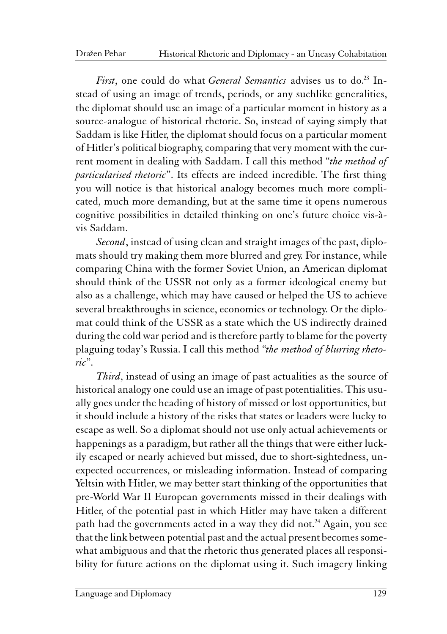First, one could do what General Semantics advises us to do.<sup>23</sup> Instead of using an image of trends, periods, or any suchlike generalities, the diplomat should use an image of a particular moment in history as a source-analogue of historical rhetoric. So, instead of saying simply that Saddam is like Hitler, the diplomat should focus on a particular moment of Hitler's political biography, comparing that very moment with the current moment in dealing with Saddam. I call this method "the method of particularised rhetoric". Its effects are indeed incredible. The first thing you will notice is that historical analogy becomes much more complicated, much more demanding, but at the same time it opens numerous cognitive possibilities in detailed thinking on one's future choice vis-àvis Saddam.

Second, instead of using clean and straight images of the past, diplomats should try making them more blurred and grey. For instance, while comparing China with the former Soviet Union, an American diplomat should think of the USSR not only as a former ideological enemy but also as a challenge, which may have caused or helped the US to achieve several breakthroughs in science, economics or technology. Or the diplomat could think of the USSR as a state which the US indirectly drained during the cold war period and is therefore partly to blame for the poverty plaguing today's Russia. I call this method "the method of blurring rhetoric".

Third, instead of using an image of past actualities as the source of historical analogy one could use an image of past potentialities. This usually goes under the heading of history of missed or lost opportunities, but it should include a history of the risks that states or leaders were lucky to escape as well. So a diplomat should not use only actual achievements or happenings as a paradigm, but rather all the things that were either luckily escaped or nearly achieved but missed, due to short-sightedness, unexpected occurrences, or misleading information. Instead of comparing Yeltsin with Hitler, we may better start thinking of the opportunities that pre-World War II European governments missed in their dealings with Hitler, of the potential past in which Hitler may have taken a different path had the governments acted in a way they did not.<sup>24</sup> Again, you see that the link between potential past and the actual present becomes somewhat ambiguous and that the rhetoric thus generated places all responsibility for future actions on the diplomat using it. Such imagery linking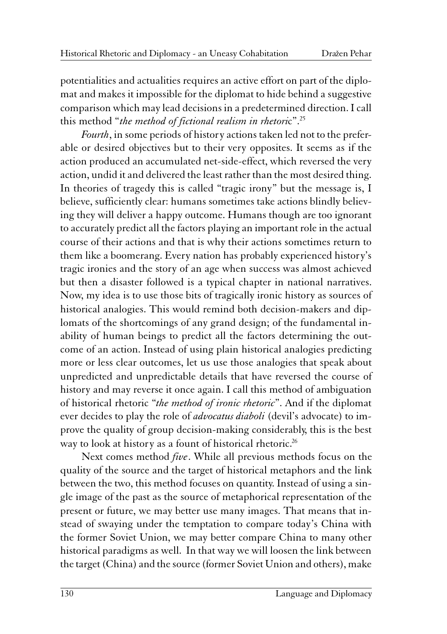potentialities and actualities requires an active effort on part of the diplomat and makes it impossible for the diplomat to hide behind a suggestive comparison which may lead decisions in a predetermined direction. I call this method "the method of fictional realism in rhetoric".<sup>25</sup>

Fourth, in some periods of history actions taken led not to the preferable or desired objectives but to their very opposites. It seems as if the action produced an accumulated net-side-effect, which reversed the very action, undid it and delivered the least rather than the most desired thing. In theories of tragedy this is called "tragic irony" but the message is, I believe, sufficiently clear: humans sometimes take actions blindly believing they will deliver a happy outcome. Humans though are too ignorant to accurately predict all the factors playing an important role in the actual course of their actions and that is why their actions sometimes return to them like a boomerang. Every nation has probably experienced history's tragic ironies and the story of an age when success was almost achieved but then a disaster followed is a typical chapter in national narratives. Now, my idea is to use those bits of tragically ironic history as sources of historical analogies. This would remind both decision-makers and diplomats of the shortcomings of any grand design; of the fundamental inability of human beings to predict all the factors determining the outcome of an action. Instead of using plain historical analogies predicting more or less clear outcomes, let us use those analogies that speak about unpredicted and unpredictable details that have reversed the course of history and may reverse it once again. I call this method of ambiguation of historical rhetoric "the method of ironic rhetoric". And if the diplomat ever decides to play the role of *advocatus diaboli* (devil's advocate) to improve the quality of group decision-making considerably, this is the best way to look at history as a fount of historical rhetoric.<sup>26</sup>

Next comes method *five*. While all previous methods focus on the quality of the source and the target of historical metaphors and the link between the two, this method focuses on quantity. Instead of using a single image of the past as the source of metaphorical representation of the present or future, we may better use many images. That means that instead of swaying under the temptation to compare today's China with the former Soviet Union, we may better compare China to many other historical paradigms as well. In that way we will loosen the link between the target (China) and the source (former Soviet Union and others), make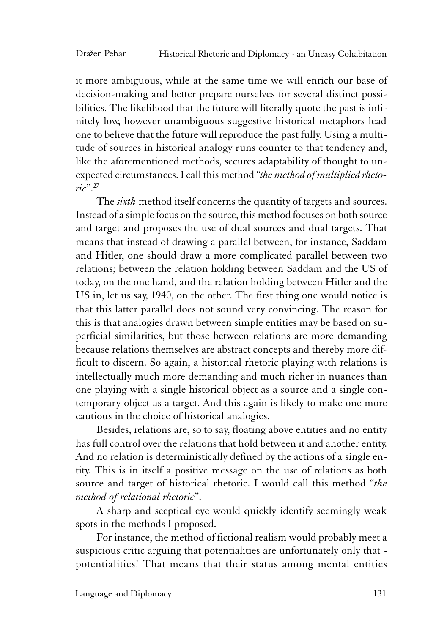it more ambiguous, while at the same time we will enrich our base of decision-making and better prepare ourselves for several distinct possibilities. The likelihood that the future will literally quote the past is infinitely low, however unambiguous suggestive historical metaphors lead one to believe that the future will reproduce the past fully. Using a multitude of sources in historical analogy runs counter to that tendency and, like the aforementioned methods, secures adaptability of thought to unexpected circumstances. I call this method "the method of multiplied rheto- $\dot{r}$ <sup>1</sup>, 27

The *sixth* method itself concerns the quantity of targets and sources. Instead of a simple focus on the source, this method focuses on both source and target and proposes the use of dual sources and dual targets. That means that instead of drawing a parallel between, for instance, Saddam and Hitler, one should draw a more complicated parallel between two relations; between the relation holding between Saddam and the US of today, on the one hand, and the relation holding between Hitler and the US in, let us say, 1940, on the other. The first thing one would notice is that this latter parallel does not sound very convincing. The reason for this is that analogies drawn between simple entities may be based on superficial similarities, but those between relations are more demanding because relations themselves are abstract concepts and thereby more difficult to discern. So again, a historical rhetoric playing with relations is intellectually much more demanding and much richer in nuances than one playing with a single historical object as a source and a single contemporary object as a target. And this again is likely to make one more cautious in the choice of historical analogies.

Besides, relations are, so to say, floating above entities and no entity has full control over the relations that hold between it and another entity. And no relation is deterministically defined by the actions of a single entity. This is in itself a positive message on the use of relations as both source and target of historical rhetoric. I would call this method "the method of relational rhetoric".

A sharp and sceptical eye would quickly identify seemingly weak spots in the methods I proposed.

For instance, the method of fictional realism would probably meet a suspicious critic arguing that potentialities are unfortunately only that potentialities! That means that their status among mental entities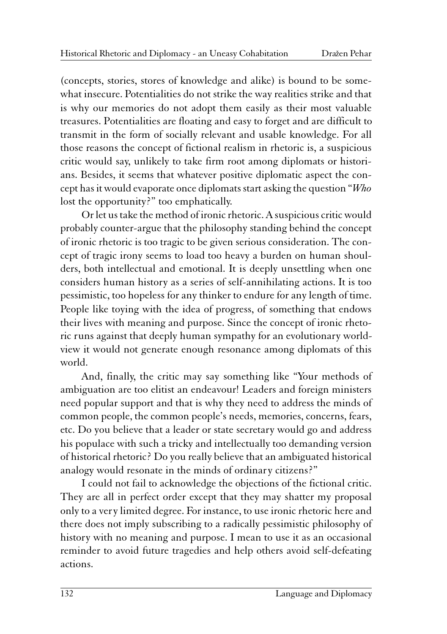(concepts, stories, stores of knowledge and alike) is bound to be somewhat insecure. Potentialities do not strike the way realities strike and that is why our memories do not adopt them easily as their most valuable treasures. Potentialities are floating and easy to forget and are difficult to transmit in the form of socially relevant and usable knowledge. For all those reasons the concept of fictional realism in rhetoric is, a suspicious critic would say, unlikely to take firm root among diplomats or historians. Besides, it seems that whatever positive diplomatic aspect the concept has it would evaporate once diplomats start asking the question "Who lost the opportunity?" too emphatically.

Or let us take the method of ironic rhetoric. A suspicious critic would probably counter-argue that the philosophy standing behind the concept of ironic rhetoric is too tragic to be given serious consideration. The concept of tragic irony seems to load too heavy a burden on human shoulders, both intellectual and emotional. It is deeply unsettling when one considers human history as a series of self-annihilating actions. It is too pessimistic, too hopeless for any thinker to endure for any length of time. People like toying with the idea of progress, of something that endows their lives with meaning and purpose. Since the concept of ironic rhetoric runs against that deeply human sympathy for an evolutionary worldview it would not generate enough resonance among diplomats of this world.

And, finally, the critic may say something like "Your methods of ambiguation are too elitist an endeavour! Leaders and foreign ministers need popular support and that is why they need to address the minds of common people, the common people's needs, memories, concerns, fears, etc. Do you believe that a leader or state secretary would go and address his populace with such a tricky and intellectually too demanding version of historical rhetoric? Do you really believe that an ambiguated historical analogy would resonate in the minds of ordinary citizens?"

I could not fail to acknowledge the objections of the fictional critic. They are all in perfect order except that they may shatter my proposal only to a very limited degree. For instance, to use ironic rhetoric here and there does not imply subscribing to a radically pessimistic philosophy of history with no meaning and purpose. I mean to use it as an occasional reminder to avoid future tragedies and help others avoid self-defeating actions.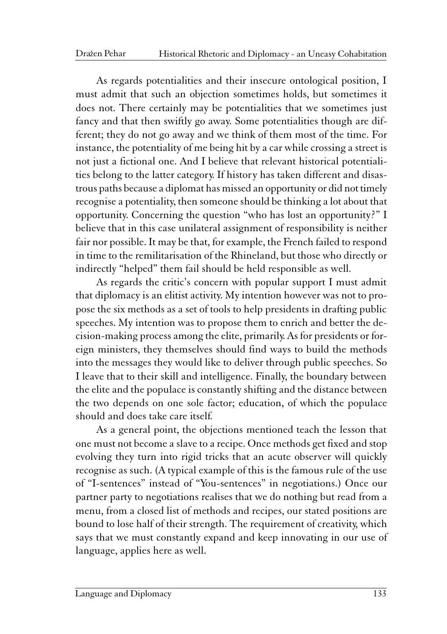As regards potentialities and their insecure ontological position, I must admit that such an objection sometimes holds, but sometimes it does not. There certainly may be potentialities that we sometimes just fancy and that then swiftly go away. Some potentialities though are different; they do not go away and we think of them most of the time. For instance, the potentiality of me being hit by a car while crossing a street is not just a fictional one. And I believe that relevant historical potentialities belong to the latter category. If history has taken different and disastrous paths because a diplomat has missed an opportunity or did not timely recognise a potentiality, then someone should be thinking a lot about that opportunity. Concerning the question "who has lost an opportunity?" I believe that in this case unilateral assignment of responsibility is neither fair nor possible. It may be that, for example, the French failed to respond in time to the remilitarisation of the Rhineland, but those who directly or indirectly "helped" them fail should be held responsible as well.

As regards the critic's concern with popular support I must admit that diplomacy is an elitist activity. My intention however was not to propose the six methods as a set of tools to help presidents in drafting public speeches. My intention was to propose them to enrich and better the decision-making process among the elite, primarily. As for presidents or foreign ministers, they themselves should find ways to build the methods into the messages they would like to deliver through public speeches. So I leave that to their skill and intelligence. Finally, the boundary between the elite and the populace is constantly shifting and the distance between the two depends on one sole factor; education, of which the populace should and does take care itself.

As a general point, the objections mentioned teach the lesson that one must not become a slave to a recipe. Once methods get fixed and stop evolving they turn into rigid tricks that an acute observer will quickly recognise as such. (A typical example of this is the famous rule of the use of "I-sentences" instead of "You-sentences" in negotiations.) Once our partner party to negotiations realises that we do nothing but read from a menu, from a closed list of methods and recipes, our stated positions are bound to lose half of their strength. The requirement of creativity, which says that we must constantly expand and keep innovating in our use of language, applies here as well.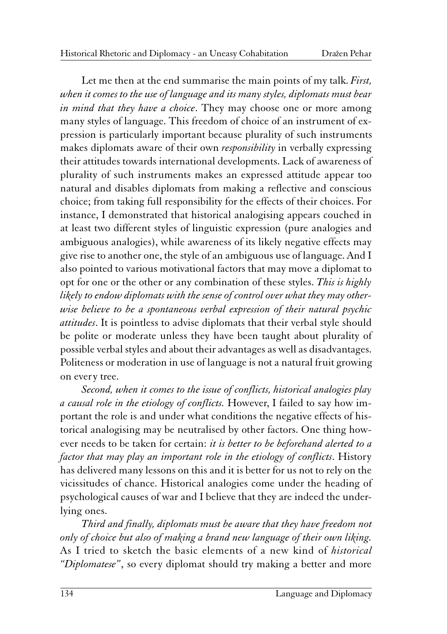Let me then at the end summarise the main points of my talk. First, when it comes to the use of language and its many styles, diplomats must bear in mind that they have a choice. They may choose one or more among many styles of language. This freedom of choice of an instrument of expression is particularly important because plurality of such instruments makes diplomats aware of their own *responsibility* in verbally expressing their attitudes towards international developments. Lack of awareness of plurality of such instruments makes an expressed attitude appear too natural and disables diplomats from making a reflective and conscious choice; from taking full responsibility for the effects of their choices. For instance, I demonstrated that historical analogising appears couched in at least two different styles of linguistic expression (pure analogies and ambiguous analogies), while awareness of its likely negative effects may give rise to another one, the style of an ambiguous use of language. And I also pointed to various motivational factors that may move a diplomat to opt for one or the other or any combination of these styles. This is highly likely to endow diplomats with the sense of control over what they may otherwise believe to be a spontaneous verbal expression of their natural psychic attitudes. It is pointless to advise diplomats that their verbal style should be polite or moderate unless they have been taught about plurality of possible verbal styles and about their advantages as well as disadvantages. Politeness or moderation in use of language is not a natural fruit growing on every tree.

Second, when it comes to the issue of conflicts, historical analogies play a causal role in the etiology of conflicts. However, I failed to say how important the role is and under what conditions the negative effects of historical analogising may be neutralised by other factors. One thing however needs to be taken for certain: it is better to be beforehand alerted to a factor that may play an important role in the etiology of conflicts. History has delivered many lessons on this and it is better for us not to rely on the vicissitudes of chance. Historical analogies come under the heading of psychological causes of war and I believe that they are indeed the underlying ones.

Third and finally, diplomats must be aware that they have freedom not only of choice but also of making a brand new language of their own liking. As I tried to sketch the basic elements of a new kind of historical "Diplomatese", so every diplomat should try making a better and more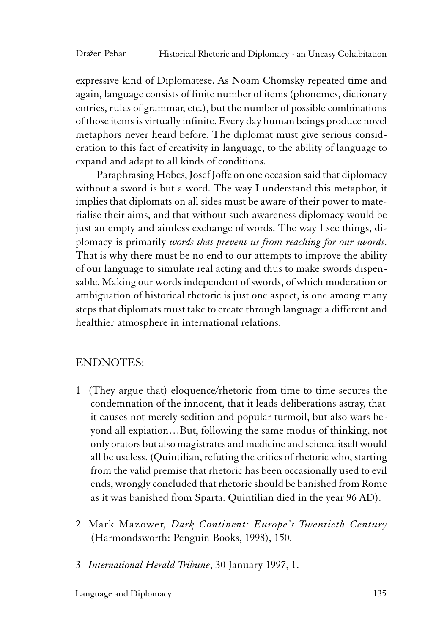expressive kind of Diplomatese. As Noam Chomsky repeated time and again, language consists of finite number of items (phonemes, dictionary entries, rules of grammar, etc.), but the number of possible combinations of those items is virtually infinite. Every day human beings produce novel metaphors never heard before. The diplomat must give serious consideration to this fact of creativity in language, to the ability of language to expand and adapt to all kinds of conditions.

Paraphrasing Hobes, Josef Joffe on one occasion said that diplomacy without a sword is but a word. The way I understand this metaphor, it implies that diplomats on all sides must be aware of their power to materialise their aims, and that without such awareness diplomacy would be just an empty and aimless exchange of words. The way I see things, diplomacy is primarily words that prevent us from reaching for our swords. That is why there must be no end to our attempts to improve the ability of our language to simulate real acting and thus to make swords dispensable. Making our words independent of swords, of which moderation or ambiguation of historical rhetoric is just one aspect, is one among many steps that diplomats must take to create through language a different and healthier atmosphere in international relations.

### ENDNOTES:

- 1 (They argue that) eloquence/rhetoric from time to time secures the condemnation of the innocent, that it leads deliberations astray, that it causes not merely sedition and popular turmoil, but also wars beyond all expiation…But, following the same modus of thinking, not only orators but also magistrates and medicine and science itself would all be useless. (Quintilian, refuting the critics of rhetoric who, starting from the valid premise that rhetoric has been occasionally used to evil ends, wrongly concluded that rhetoric should be banished from Rome as it was banished from Sparta. Quintilian died in the year 96 AD).
- 2 Mark Mazower, Dark Continent: Europe's Twentieth Century (Harmondsworth: Penguin Books, 1998), 150.
- 3 International Herald Tribune, 30 January 1997, 1.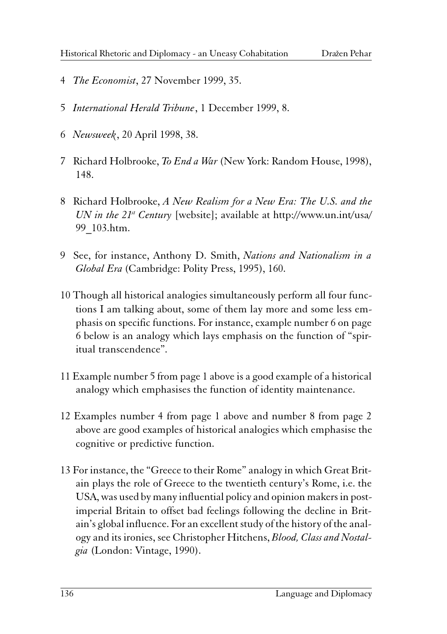- 4 The Economist, 27 November 1999, 35.
- 5 International Herald Tribune, 1 December 1999, 8.
- 6 Newsweek, 20 April 1998, 38.
- 7 Richard Holbrooke, To End a War (New York: Random House, 1998), 148.
- 8 Richard Holbrooke, A New Realism for a New Era: The U.S. and the UN in the  $21^{st}$  Century [website]; available at http://www.un.int/usa/ 99\_103.htm.
- 9 See, for instance, Anthony D. Smith, Nations and Nationalism in a Global Era (Cambridge: Polity Press, 1995), 160.
- 10 Though all historical analogies simultaneously perform all four functions I am talking about, some of them lay more and some less emphasis on specific functions. For instance, example number 6 on page 6 below is an analogy which lays emphasis on the function of "spiritual transcendence".
- 11 Example number 5 from page 1 above is a good example of a historical analogy which emphasises the function of identity maintenance.
- 12 Examples number 4 from page 1 above and number 8 from page 2 above are good examples of historical analogies which emphasise the cognitive or predictive function.
- 13 For instance, the "Greece to their Rome" analogy in which Great Britain plays the role of Greece to the twentieth century's Rome, i.e. the USA, was used by many influential policy and opinion makers in postimperial Britain to offset bad feelings following the decline in Britain's global influence. For an excellent study of the history of the analogy and its ironies, see Christopher Hitchens, Blood, Class and Nostalgia (London: Vintage, 1990).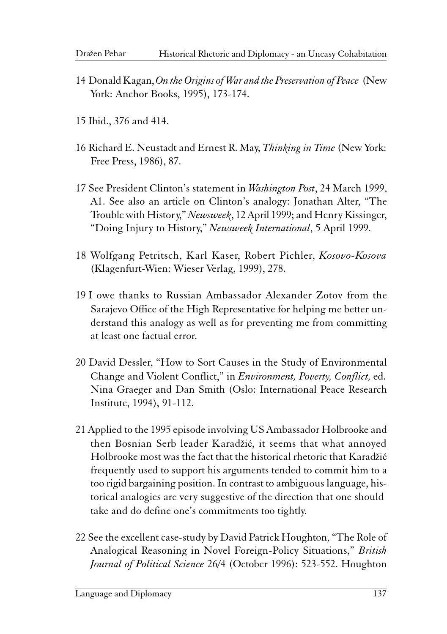- 14 Donald Kagan, On the Origins of War and the Preservation of Peace (New York: Anchor Books, 1995), 173-174.
- 15 Ibid., 376 and 414.
- 16 Richard E. Neustadt and Ernest R. May, Thinking in Time (New York: Free Press, 1986), 87.
- 17 See President Clinton's statement in Washington Post, 24 March 1999, A1. See also an article on Clinton's analogy: Jonathan Alter, "The Trouble with History," Newsweek, 12 April 1999; and Henry Kissinger, "Doing Injury to History," Newsweek International, 5 April 1999.
- 18 Wolfgang Petritsch, Karl Kaser, Robert Pichler, Kosovo-Kosova (Klagenfurt-Wien: Wieser Verlag, 1999), 278.
- 19 I owe thanks to Russian Ambassador Alexander Zotov from the Sarajevo Office of the High Representative for helping me better understand this analogy as well as for preventing me from committing at least one factual error.
- 20 David Dessler, "How to Sort Causes in the Study of Environmental Change and Violent Conflict," in *Environment, Poverty, Conflict, ed.* Nina Graeger and Dan Smith (Oslo: International Peace Research Institute, 1994), 91-112.
- 21 Applied to the 1995 episode involving US Ambassador Holbrooke and then Bosnian Serb leader Karadžić, it seems that what annoyed Holbrooke most was the fact that the historical rhetoric that Karadžić frequently used to support his arguments tended to commit him to a too rigid bargaining position. In contrast to ambiguous language, historical analogies are very suggestive of the direction that one should take and do define one's commitments too tightly.
- 22 See the excellent case-study by David Patrick Houghton, "The Role of Analogical Reasoning in Novel Foreign-Policy Situations," British Journal of Political Science 26/4 (October 1996): 523-552. Houghton